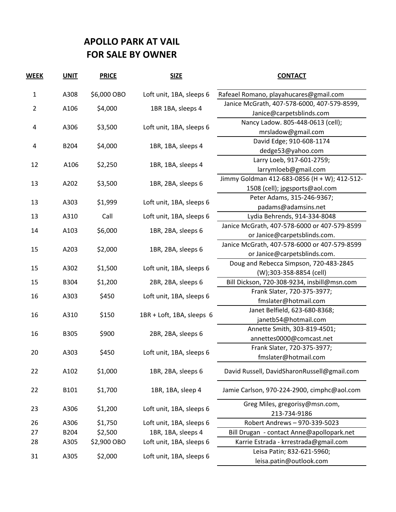## **APOLLO PARK AT VAIL FOR SALE BY OWNER**

| <b>WEEK</b>    | <b>UNIT</b> | <b>PRICE</b> | <b>SIZE</b>               | <b>CONTACT</b>                                        |
|----------------|-------------|--------------|---------------------------|-------------------------------------------------------|
| $\mathbf{1}$   | A308        | \$6,000 OBO  | Loft unit, 1BA, sleeps 6  | Rafeael Romano, playahucares@gmail.com                |
|                |             |              |                           | Janice McGrath, 407-578-6000, 407-579-8599,           |
| $\overline{2}$ | A106        | \$4,000      | 1BR 1BA, sleeps 4         | Janice@carpetsblinds.com                              |
| 4              | A306        | \$3,500      | Loft unit, 1BA, sleeps 6  | Nancy Ladow. 805-448-0613 (cell);                     |
|                |             |              |                           | mrsladow@gmail.com                                    |
| 4              | B204        | \$4,000      | 1BR, 1BA, sleeps 4        | David Edge; 910-608-1174                              |
|                |             |              |                           | dedge53@yahoo.com                                     |
| 12             |             | \$2,250      | 1BR, 1BA, sleeps 4        | Larry Loeb, 917-601-2759;                             |
|                | A106        |              |                           | larrymloeb@gmail.com                                  |
| 13             | A202        | \$3,500      | 1BR, 2BA, sleeps 6        | Jimmy Goldman 412-683-0856 (H + W); 412-512-          |
|                |             |              |                           | 1508 (cell); jpgsports@aol.com                        |
|                |             | \$1,999      | Loft unit, 1BA, sleeps 6  | Peter Adams, 315-246-9367;                            |
| 13             | A303        |              |                           | padams@adamsins.net                                   |
| 13             | A310        | Call         | Loft unit, 1BA, sleeps 6  | Lydia Behrends, 914-334-8048                          |
|                | A103        |              |                           | Janice McGrath, 407-578-6000 or 407-579-8599          |
| 14             |             | \$6,000      | 1BR, 2BA, sleeps 6        | or Janice@carpetsblinds.com.                          |
| 15             | A203        | \$2,000      | 1BR, 2BA, sleeps 6        | Janice McGrath, 407-578-6000 or 407-579-8599          |
|                |             |              |                           | or Janice@carpetsblinds.com.                          |
| 15             | A302        | \$1,500      |                           | Doug and Rebecca Simpson, 720-483-2845                |
|                |             |              | Loft unit, 1BA, sleeps 6  | (W);303-358-8854 (cell)                               |
| 15             | B304        | \$1,200      | 2BR, 2BA, sleeps 6        | Bill Dickson, 720-308-9234, insbill@msn.com           |
| 16             | A303        | \$450        | Loft unit, 1BA, sleeps 6  | Frank Slater, 720-375-3977;                           |
|                |             |              |                           | fmslater@hotmail.com                                  |
| 16             | A310        | \$150        | 1BR + Loft, 1BA, sleeps 6 | Janet Belfield, 623-680-8368;                         |
|                |             |              |                           | janetb54@hotmail.com                                  |
| 16             | B305        | \$900        | 2BR, 2BA, sleeps 6        | Annette Smith, 303-819-4501;                          |
|                |             |              |                           | annettes0000@comcast.net                              |
| 20             | A303        | \$450        | Loft unit, 1BA, sleeps 6  | Frank Slater, 720-375-3977;                           |
|                |             |              |                           | fmslater@hotmail.com                                  |
| 22             | A102        | \$1,000      | 1BR, 2BA, sleeps 6        | David Russell, DavidSharonRussell@gmail.com           |
| 22             | B101        | \$1,700      | 1BR, 1BA, sleep 4         | Jamie Carlson, 970-224-2900, cimphc@aol.com           |
| 23             | A306        | \$1,200      | Loft unit, 1BA, sleeps 6  | Greg Miles, gregorisy@msn.com,<br>213-734-9186        |
| 26             | A306        | \$1,750      | Loft unit, 1BA, sleeps 6  | Robert Andrews - 970-339-5023                         |
| 27             | B204        | \$2,500      | 1BR, 1BA, sleeps 4        | Bill Drugan - contact Anne@apollopark.net             |
| 28             | A305        | \$2,900 OBO  | Loft unit, 1BA, sleeps 6  | Karrie Estrada - krrestrada@gmail.com                 |
| 31             | A305        | \$2,000      | Loft unit, 1BA, sleeps 6  | Leisa Patin; 832-621-5960;<br>leisa.patin@outlook.com |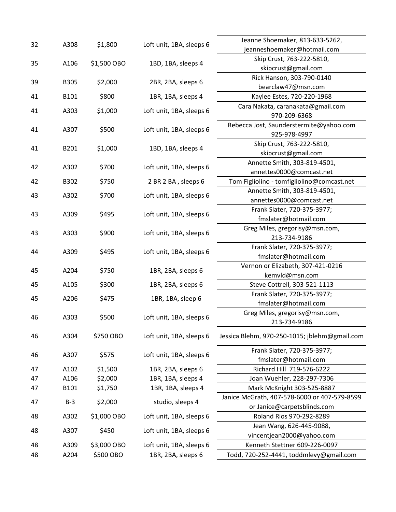| 32 | A308        | \$1,800     | Loft unit, 1BA, sleeps 6 | Jeanne Shoemaker, 813-633-5262,               |
|----|-------------|-------------|--------------------------|-----------------------------------------------|
|    |             |             |                          | jeanneshoemaker@hotmail.com                   |
| 35 | A106        |             |                          | Skip Crust, 763-222-5810,                     |
|    |             | \$1,500 OBO | 1BD, 1BA, sleeps 4       | skipcrust@gmail.com                           |
| 39 |             | \$2,000     |                          | Rick Hanson, 303-790-0140                     |
|    | <b>B305</b> |             | 2BR, 2BA, sleeps 6       | bearclaw47@msn.com                            |
| 41 | B101        | \$800       | 1BR, 1BA, sleeps 4       | Kaylee Estes, 720-220-1968                    |
|    | A303        | \$1,000     | Loft unit, 1BA, sleeps 6 | Cara Nakata, caranakata@gmail.com             |
| 41 |             |             |                          | 970-209-6368                                  |
| 41 | A307        | \$500       | Loft unit, 1BA, sleeps 6 | Rebecca Jost, Saunderstermite@yahoo.com       |
|    |             |             |                          | 925-978-4997                                  |
| 41 | B201        | \$1,000     | 1BD, 1BA, sleeps 4       | Skip Crust, 763-222-5810,                     |
|    |             |             |                          | skipcrust@gmail.com                           |
| 42 | A302        | \$700       | Loft unit, 1BA, sleeps 6 | Annette Smith, 303-819-4501,                  |
|    |             |             |                          | annettes0000@comcast.net                      |
| 42 | B302        | \$750       | 2 BR 2 BA, sleeps 6      | Tom Figliolino - tomfigliolino@comcast.net    |
| 43 | A302        | \$700       | Loft unit, 1BA, sleeps 6 | Annette Smith, 303-819-4501,                  |
|    |             |             |                          | annettes0000@comcast.net                      |
| 43 | A309        | \$495       | Loft unit, 1BA, sleeps 6 | Frank Slater, 720-375-3977;                   |
|    |             |             |                          | fmslater@hotmail.com                          |
| 43 | A303        | \$900       | Loft unit, 1BA, sleeps 6 | Greg Miles, gregorisy@msn.com,                |
|    |             |             |                          | 213-734-9186                                  |
| 44 | A309        | \$495       | Loft unit, 1BA, sleeps 6 | Frank Slater, 720-375-3977;                   |
|    |             |             |                          | fmslater@hotmail.com                          |
| 45 | A204        | \$750       | 1BR, 2BA, sleeps 6       | Vernon or Elizabeth, 307-421-0216             |
|    |             |             |                          | kemvld@msn.com                                |
| 45 | A105        | \$300       | 1BR, 2BA, sleeps 6       | Steve Cottrell, 303-521-1113                  |
| 45 | A206        | \$475       | 1BR, 1BA, sleep 6        | Frank Slater, 720-375-3977;                   |
|    |             |             |                          | fmslater@hotmail.com                          |
| 46 | A303        | \$500       | Loft unit, 1BA, sleeps 6 | Greg Miles, gregorisy@msn.com,                |
|    |             |             |                          | 213-734-9186                                  |
| 46 | A304        | \$750 OBO   | Loft unit, 1BA, sleeps 6 | Jessica Blehm, 970-250-1015; jblehm@gmail.com |
|    |             | \$575       | Loft unit, 1BA, sleeps 6 | Frank Slater, 720-375-3977;                   |
| 46 | A307        |             |                          | fmslater@hotmail.com                          |
| 47 | A102        | \$1,500     | 1BR, 2BA, sleeps 6       | Richard Hill 719-576-6222                     |
| 47 | A106        | \$2,000     | 1BR, 1BA, sleeps 4       | Joan Wuehler, 228-297-7306                    |
| 47 | B101        | \$1,750     | 1BR, 1BA, sleeps 4       | Mark McKnight 303-525-8887                    |
| 47 | $B-3$       | \$2,000     | studio, sleeps 4         | Janice McGrath, 407-578-6000 or 407-579-8599  |
|    |             |             |                          | or Janice@carpetsblinds.com                   |
| 48 | A302        | \$1,000 OBO | Loft unit, 1BA, sleeps 6 | Roland Rios 970-292-8289                      |
| 48 | A307        | \$450       | Loft unit, 1BA, sleeps 6 | Jean Wang, 626-445-9088,                      |
|    |             |             |                          | vincentjean2000@yahoo.com                     |
| 48 | A309        | \$3,000 OBO | Loft unit, 1BA, sleeps 6 | Kenneth Stettner 609-226-0097                 |
| 48 | A204        | \$500 OBO   | 1BR, 2BA, sleeps 6       | Todd, 720-252-4441, toddmlevy@gmail.com       |